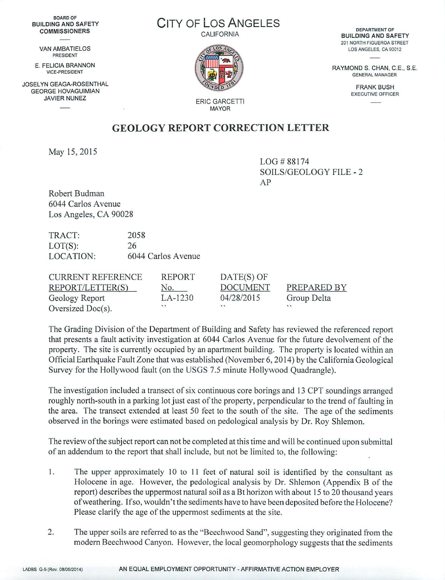BOARD OF BUILDING AND SAFETY **COMMISSIONERS** 

> VAN AMBATIELOS PRESIDENT

E. FELICIA BRANNON VICE-PRESIOENT

JOSELYN GEAGA-ROSENTHAL GEORGE HOVAGUIMIAN JAVIER NUNEZ

## CITY OF Los ANGELES

CALIFORNIA



DEPARTMENT OF **BUILDING AND SAFETY**  201 NORTH FIGUEROA STREET LOS ANGELES, CA 90012

RAYMOND S. CHAN, C.E., S.E. GENERAL MANAGER

> FRANK BUSH EXECUTIVE OFFICER

ERIC GARCETTI MAYOR

## **GEOLOGY REPORT CORRECTION LETTER**

May 15, 2015

LOG#88174 SOILS/GEOLOGY FILE - 2 AP

Robert Budman 6044 Carlos A venue Los Angeles, CA 90028

TRACT: LOT(S): 2058 26 LOCATION: 6044 Carlos Avenue

| <b>CURRENT REFERENCE</b> | REPORT      | $DATE(S)$ OF    |             |
|--------------------------|-------------|-----------------|-------------|
| REPORT/LETTER(S)         | No.         | <b>DOCUMENT</b> | PREPARED BY |
| Geology Report           | LA-1230     | 04/28/2015      | Group Delta |
| Oversized Doc(s).        | $^{\prime}$ | $^{\prime}$     | $\cdot$     |

The Grading Division of the Department of Building and Safety has reviewed the referenced report that presents a fault activity investigation at 6044 Carlos A venue for the future devolvement of the property. The site is currently occupied by an apartment building. The property is located within an Official Earthquake Fault Zone that was established (November 6, 2014) by the California Geological Survey for the Hollywood fault (on the USGS 7.5 minute Hollywood Quadrangle).

The investigation included a transect of six continuous core borings and 13 CPT soundings arranged roughly north-south in a parking lot just east of the property, perpendicular to the trend of faulting in the area. The transect extended at least 50 feet to the south of the site. The age of the sediments observed in the borings were estimated based on pedological analysis by Dr. Roy Shlemon.

The review of the subject report can not be completed at this time and will be continued upon submittal of an addendum to the report that shall include, but not be limited to, the following:

- 1. The upper approximately 10 to 11 feet of natural soil is identified by the consultant as Holocene in age. However, the pedological analysis by Dr. Shlemon (Appendix B of the report) describes the uppermost natural soil as a Bt horizon with about 15 to 20 thousand years of weathering. If so, wouldn't the sediments have to have been deposited before the Holocene? Please clarify the age of the uppermost sediments at the site.
- 2. The upper soils are referred to as the "Beechwood Sand", suggesting they originated from the modern Beechwood Canyon. However, the local geomorphology suggests that the sediments